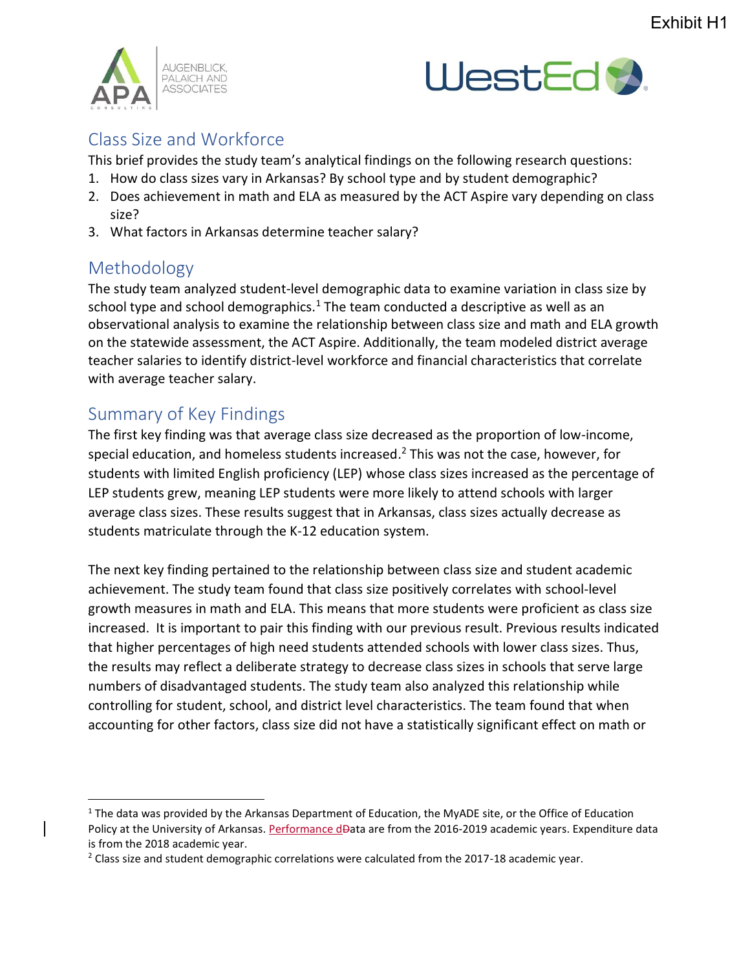



## Class Size and Workforce

This brief provides the study team's analytical findings on the following research questions:

- 1. How do class sizes vary in Arkansas? By school type and by student demographic?
- 2. Does achievement in math and ELA as measured by the ACT Aspire vary depending on class size?
- 3. What factors in Arkansas determine teacher salary?

## Methodology

 $\overline{a}$ 

The study team analyzed student-level demographic data to examine variation in class size by school type and school demographics.<sup>1</sup> The team conducted a descriptive as well as an observational analysis to examine the relationship between class size and math and ELA growth on the statewide assessment, the ACT Aspire. Additionally, the team modeled district average teacher salaries to identify district-level workforce and financial characteristics that correlate with average teacher salary.

## Summary of Key Findings

The first key finding was that average class size decreased as the proportion of low-income, special education, and homeless students increased.<sup>2</sup> This was not the case, however, for students with limited English proficiency (LEP) whose class sizes increased as the percentage of LEP students grew, meaning LEP students were more likely to attend schools with larger average class sizes. These results suggest that in Arkansas, class sizes actually decrease as students matriculate through the K-12 education system.

The next key finding pertained to the relationship between class size and student academic achievement. The study team found that class size positively correlates with school-level growth measures in math and ELA. This means that more students were proficient as class size increased. It is important to pair this finding with our previous result. Previous results indicated that higher percentages of high need students attended schools with lower class sizes. Thus, the results may reflect a deliberate strategy to decrease class sizes in schools that serve large numbers of disadvantaged students. The study team also analyzed this relationship while controlling for student, school, and district level characteristics. The team found that when accounting for other factors, class size did not have a statistically significant effect on math or

<sup>&</sup>lt;sup>1</sup> The data was provided by the Arkansas Department of Education, the MyADE site, or the Office of Education Policy at the University of Arkansas. Performance dData are from the 2016-2019 academic years. Expenditure data is from the 2018 academic year.

 $^2$  Class size and student demographic correlations were calculated from the 2017-18 academic year.